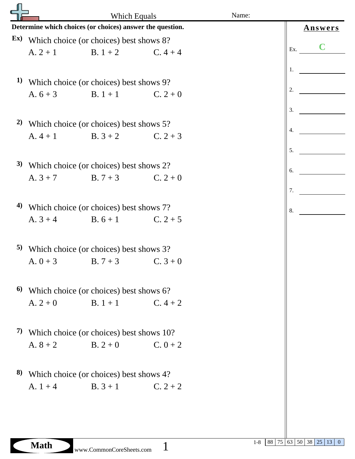|                                                           | Which Equals                             |                                                                             | Name: |  |                  |
|-----------------------------------------------------------|------------------------------------------|-----------------------------------------------------------------------------|-------|--|------------------|
| Determine which choices (or choices) answer the question. | <b>Answers</b>                           |                                                                             |       |  |                  |
| Ex)                                                       | Which choice (or choices) best shows 8?  |                                                                             |       |  |                  |
|                                                           |                                          | A. $2 + 1$ B. $1 + 2$ C. $4 + 4$                                            |       |  | Ex.              |
|                                                           |                                          |                                                                             |       |  | 1.               |
| 1)                                                        | Which choice (or choices) best shows 9?  |                                                                             |       |  |                  |
|                                                           |                                          | A. $6+3$ B. $1+1$ C. $2+0$                                                  |       |  | 2.               |
|                                                           |                                          |                                                                             |       |  | 3.               |
| 2)                                                        |                                          |                                                                             |       |  |                  |
|                                                           |                                          | Which choice (or choices) best shows 5?<br>A. $4 + 1$ B. $3 + 2$ C. $2 + 3$ |       |  | $\overline{4}$ . |
|                                                           |                                          |                                                                             |       |  | 5.               |
|                                                           |                                          |                                                                             |       |  |                  |
| 3)                                                        |                                          | Which choice (or choices) best shows 2?                                     |       |  | 6.               |
|                                                           |                                          | A. $3+7$ B. $7+3$ C. $2+0$                                                  |       |  |                  |
|                                                           |                                          |                                                                             |       |  | 7.               |
| 4)                                                        |                                          | Which choice (or choices) best shows 7?                                     |       |  | 8.               |
|                                                           |                                          | A. $3+4$ B. $6+1$ C. $2+5$                                                  |       |  |                  |
|                                                           |                                          |                                                                             |       |  |                  |
|                                                           |                                          | 5) Which choice (or choices) best shows 3?                                  |       |  |                  |
|                                                           |                                          | A. $0+3$ B. $7+3$ C. $3+0$                                                  |       |  |                  |
|                                                           |                                          |                                                                             |       |  |                  |
| 6)                                                        | Which choice (or choices) best shows 6?  |                                                                             |       |  |                  |
|                                                           |                                          | A. $2 + 0$ B. $1 + 1$ C. $4 + 2$                                            |       |  |                  |
|                                                           |                                          |                                                                             |       |  |                  |
| 7)                                                        | Which choice (or choices) best shows 10? |                                                                             |       |  |                  |
|                                                           |                                          | A. $8 + 2$ B. $2 + 0$ C. $0 + 2$                                            |       |  |                  |
|                                                           |                                          |                                                                             |       |  |                  |
| 8)                                                        | Which choice (or choices) best shows 4?  |                                                                             |       |  |                  |
|                                                           |                                          | A. $1+4$ B. $3+1$ C. $2+2$                                                  |       |  |                  |
|                                                           |                                          |                                                                             |       |  |                  |
|                                                           |                                          |                                                                             |       |  |                  |
|                                                           |                                          |                                                                             |       |  |                  |
|                                                           |                                          |                                                                             |       |  |                  |

1